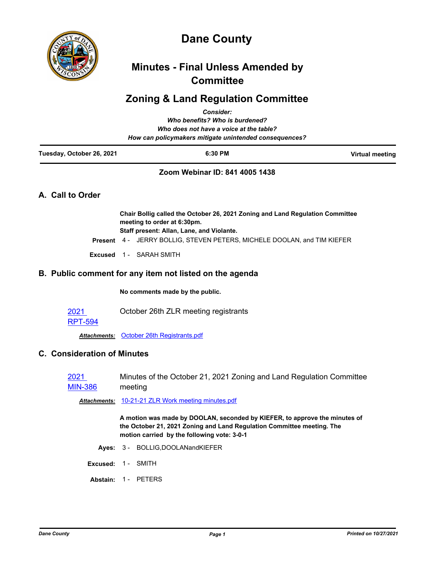

# **Dane County**

# **Minutes - Final Unless Amended by Committee**

# **Zoning & Land Regulation Committee**

|                                                        | <b>Consider:</b>                                                                                             |                 |  |
|--------------------------------------------------------|--------------------------------------------------------------------------------------------------------------|-----------------|--|
|                                                        | Who benefits? Who is burdened?                                                                               |                 |  |
|                                                        | Who does not have a voice at the table?                                                                      |                 |  |
| How can policymakers mitigate unintended consequences? |                                                                                                              |                 |  |
| Tuesday, October 26, 2021                              | 6:30 PM                                                                                                      | Virtual meeting |  |
|                                                        | Zoom Webinar ID: 841 4005 1438                                                                               |                 |  |
| A. Call to Order                                       |                                                                                                              |                 |  |
|                                                        | Chair Bollig called the October 26, 2021 Zoning and Land Regulation Committee<br>meeting to order at 6:30pm. |                 |  |

**Staff present: Allan, Lane, and Violante.**

**Present** 4 - JERRY BOLLIG, STEVEN PETERS, MICHELE DOOLAN, and TIM KIEFER

**Excused** 1 - SARAH SMITH

## **B. Public comment for any item not listed on the agenda**

**No comments made by the public.**

2021 October 26th ZLR meeting registrants

### [RPT-594](http://dane.legistar.com/gateway.aspx?m=l&id=/matter.aspx?key=21461)

*Attachments:* [October 26th Registrants.pdf](http://dane.legistar.com/gateway.aspx?M=F&ID=24610c6c-789d-487c-af3f-18b43a8f2ebc.pdf)

## **C. Consideration of Minutes**

2021 [MIN-386](http://dane.legistar.com/gateway.aspx?m=l&id=/matter.aspx?key=21373) Minutes of the October 21, 2021 Zoning and Land Regulation Committee meeting

*Attachments:* [10-21-21 ZLR Work meeting minutes.pdf](http://dane.legistar.com/gateway.aspx?M=F&ID=f21dbde4-0e75-4d14-a71a-6db1a17f5c7f.pdf)

**A motion was made by DOOLAN, seconded by KIEFER, to approve the minutes of the October 21, 2021 Zoning and Land Regulation Committee meeting. The motion carried by the following vote: 3-0-1**

- **Ayes:** 3 BOLLIG,DOOLANandKIEFER
- **Excused:** 1 SMITH
- **Abstain:** 1 PETERS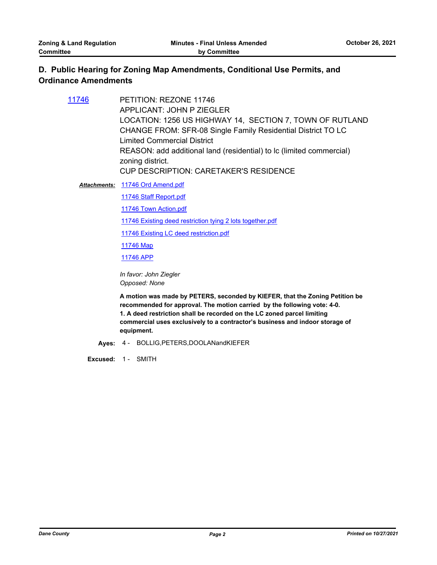# **D. Public Hearing for Zoning Map Amendments, Conditional Use Permits, and Ordinance Amendments**

| 11746 | PETITION: REZONE 11746                                               |
|-------|----------------------------------------------------------------------|
|       | APPLICANT: JOHN P ZIEGLER                                            |
|       | LOCATION: 1256 US HIGHWAY 14, SECTION 7, TOWN OF RUTLAND             |
|       | <b>CHANGE FROM: SFR-08 Single Family Residential District TO LC</b>  |
|       | <b>Limited Commercial District</b>                                   |
|       | REASON: add additional land (residential) to lc (limited commercial) |
|       | zoning district.                                                     |
|       | <b>CUP DESCRIPTION: CARETAKER'S RESIDENCE</b>                        |
|       | Attachments: 11746 Ord Amend.pdf                                     |

[11746 Staff Report.pdf](http://dane.legistar.com/gateway.aspx?M=F&ID=95d037a9-1710-4e46-8b3a-e7544e948bcf.pdf)

[11746 Town Action.pdf](http://dane.legistar.com/gateway.aspx?M=F&ID=0092d7cd-00c8-4be9-96cf-55324cd1cfe0.pdf)

[11746 Existing deed restriction tying 2 lots together.pdf](http://dane.legistar.com/gateway.aspx?M=F&ID=89d6b272-b9de-4b06-94f0-abf5acbe4129.pdf)

[11746 Existing LC deed restriction.pdf](http://dane.legistar.com/gateway.aspx?M=F&ID=912f4523-39ea-4bb1-a1d0-7c69764e94d0.pdf)

[11746 Map](http://dane.legistar.com/gateway.aspx?M=F&ID=dc2f51f9-c5fb-4438-a263-8d49d6514194.pdf)

[11746 APP](http://dane.legistar.com/gateway.aspx?M=F&ID=b78084b0-e9b8-4eaa-8755-4670736c8b2c.pdf)

*In favor: John Ziegler Opposed: None*

**A motion was made by PETERS, seconded by KIEFER, that the Zoning Petition be recommended for approval. The motion carried by the following vote: 4-0. 1. A deed restriction shall be recorded on the LC zoned parcel limiting commercial uses exclusively to a contractor's business and indoor storage of equipment.**

**Ayes:** 4 - BOLLIG,PETERS,DOOLANandKIEFER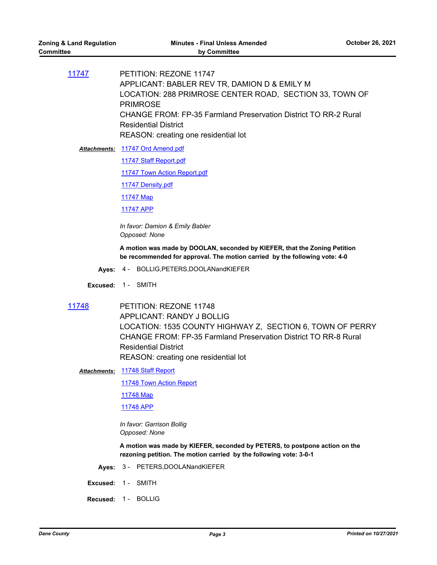[11747](http://dane.legistar.com/gateway.aspx?m=l&id=/matter.aspx?key=20854) PETITION: REZONE 11747 APPLICANT: BABLER REV TR, DAMION D & EMILY M LOCATION: 288 PRIMROSE CENTER ROAD, SECTION 33, TOWN OF PRIMROSE CHANGE FROM: FP-35 Farmland Preservation District TO RR-2 Rural Residential District REASON: creating one residential lot

Attachments: [11747 Ord Amend.pdf](http://dane.legistar.com/gateway.aspx?M=F&ID=9dc1b8cb-241c-4d45-9330-0be0ef00d262.pdf)

[11747 Staff Report.pdf](http://dane.legistar.com/gateway.aspx?M=F&ID=400e95b4-f48a-4299-83c8-da1a9adebc9a.pdf)

[11747 Town Action Report.pdf](http://dane.legistar.com/gateway.aspx?M=F&ID=778a5c11-10a7-434c-b82c-318a94c4018f.pdf)

[11747 Density.pdf](http://dane.legistar.com/gateway.aspx?M=F&ID=4fca9daa-6728-4577-b0b7-c9444b3a4410.pdf)

[11747 Map](http://dane.legistar.com/gateway.aspx?M=F&ID=0a6a9490-7ce3-44ca-8592-574fca193af7.pdf)

[11747 APP](http://dane.legistar.com/gateway.aspx?M=F&ID=be0d3d99-436f-40ab-b547-461953e03391.pdf)

*In favor: Damion & Emily Babler Opposed: None*

**A motion was made by DOOLAN, seconded by KIEFER, that the Zoning Petition be recommended for approval. The motion carried by the following vote: 4-0**

**Ayes:** 4 - BOLLIG,PETERS,DOOLANandKIEFER

**Excused:** 1 - SMITH

[11748](http://dane.legistar.com/gateway.aspx?m=l&id=/matter.aspx?key=20851) PETITION: REZONE 11748 APPLICANT: RANDY J BOLLIG LOCATION: 1535 COUNTY HIGHWAY Z, SECTION 6, TOWN OF PERRY CHANGE FROM: FP-35 Farmland Preservation District TO RR-8 Rural Residential District REASON: creating one residential lot

[11748 Staff Report](http://dane.legistar.com/gateway.aspx?M=F&ID=308cfd73-4e85-40f0-9005-a48ad0df3c21.pdf) *Attachments:*

[11748 Town Action Report](http://dane.legistar.com/gateway.aspx?M=F&ID=3794a926-36e1-40e9-b864-768d5f07fc3e.pdf)

[11748 Map](http://dane.legistar.com/gateway.aspx?M=F&ID=2c455135-56f5-4770-aac2-d980e0193c4d.pdf)

[11748 APP](http://dane.legistar.com/gateway.aspx?M=F&ID=156b6095-c77b-4945-9985-45290e2977bc.pdf)

*In favor: Garrison Bollig Opposed: None*

**A motion was made by KIEFER, seconded by PETERS, to postpone action on the rezoning petition. The motion carried by the following vote: 3-0-1**

- **Ayes:** 3 PETERS,DOOLANandKIEFER
- **Excused:** 1 SMITH
- **Recused:** 1 BOLLIG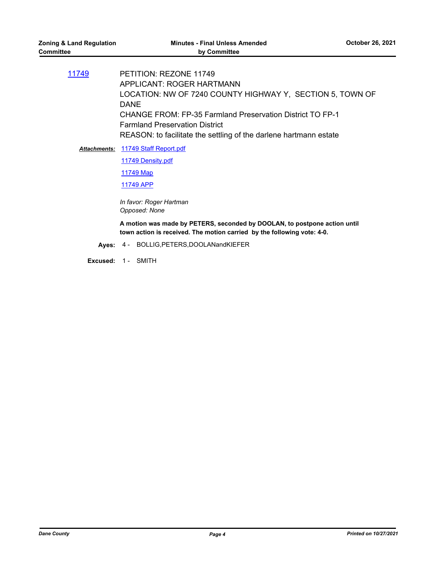[11749](http://dane.legistar.com/gateway.aspx?m=l&id=/matter.aspx?key=20855) PETITION: REZONE 11749 APPLICANT: ROGER HARTMANN LOCATION: NW OF 7240 COUNTY HIGHWAY Y, SECTION 5, TOWN OF DANE CHANGE FROM: FP-35 Farmland Preservation District TO FP-1 Farmland Preservation District REASON: to facilitate the settling of the darlene hartmann estate

Attachments: [11749 Staff Report.pdf](http://dane.legistar.com/gateway.aspx?M=F&ID=83ba8ee1-765f-4e7a-b0cc-9706f70e649c.pdf)

[11749 Density.pdf](http://dane.legistar.com/gateway.aspx?M=F&ID=4343c12b-1c98-4f22-9f9c-968ab61a36fc.pdf)

[11749 Map](http://dane.legistar.com/gateway.aspx?M=F&ID=12e4c22b-74c7-42fb-bc39-9c859379f06c.pdf)

[11749 APP](http://dane.legistar.com/gateway.aspx?M=F&ID=1b99e2b0-9322-4327-962f-9a05b0f300b8.pdf)

*In favor: Roger Hartman Opposed: None*

**A motion was made by PETERS, seconded by DOOLAN, to postpone action until town action is received. The motion carried by the following vote: 4-0.**

**Ayes:** 4 - BOLLIG,PETERS,DOOLANandKIEFER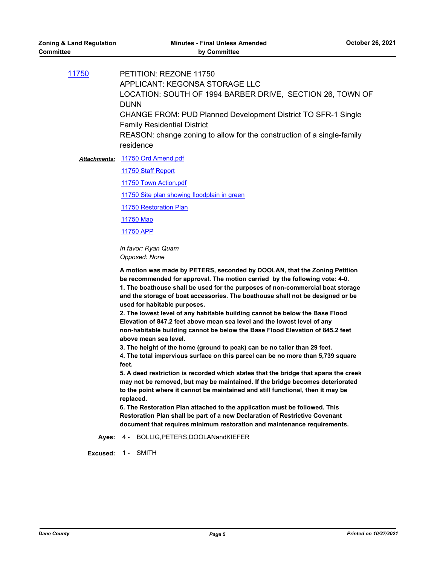| PETITION: REZONE 11750<br>APPLICANT: KEGONSA STORAGE LLC<br>LOCATION: SOUTH OF 1994 BARBER DRIVE, SECTION 26, TOWN OF<br><b>DUNN</b><br><b>CHANGE FROM: PUD Planned Development District TO SFR-1 Single</b><br><b>Family Residential District</b> |
|----------------------------------------------------------------------------------------------------------------------------------------------------------------------------------------------------------------------------------------------------|
| REASON: change zoning to allow for the construction of a single-family<br>residence                                                                                                                                                                |
|                                                                                                                                                                                                                                                    |

Attachments: [11750 Ord Amend.pdf](http://dane.legistar.com/gateway.aspx?M=F&ID=515b699f-0eb5-49df-a860-c8e9cc24ed02.pdf)

[11750 Staff Report](http://dane.legistar.com/gateway.aspx?M=F&ID=28da3bab-0982-4dd5-98a8-a8551245a177.pdf)

[11750 Town Action.pdf](http://dane.legistar.com/gateway.aspx?M=F&ID=479ab6db-ec96-4e16-9fc8-22067db60a73.pdf)

[11750 Site plan showing floodplain in green](http://dane.legistar.com/gateway.aspx?M=F&ID=d2dc9f20-1ee5-4ae2-9c16-43d37ca70ae4.pdf)

[11750 Restoration Plan](http://dane.legistar.com/gateway.aspx?M=F&ID=e4f9eaf3-a7e0-4da1-b4ef-7d6ec23f8877.pdf)

[11750 Map](http://dane.legistar.com/gateway.aspx?M=F&ID=4ca92438-05cf-439c-85fd-b47ad23c7ba4.pdf)

[11750 APP](http://dane.legistar.com/gateway.aspx?M=F&ID=d9079db8-d6e4-4d35-a778-7100c6fe5215.pdf)

*In favor: Ryan Quam Opposed: None*

**A motion was made by PETERS, seconded by DOOLAN, that the Zoning Petition be recommended for approval. The motion carried by the following vote: 4-0. 1. The boathouse shall be used for the purposes of non-commercial boat storage and the storage of boat accessories. The boathouse shall not be designed or be used for habitable purposes.**

**2. The lowest level of any habitable building cannot be below the Base Flood Elevation of 847.2 feet above mean sea level and the lowest level of any non-habitable building cannot be below the Base Flood Elevation of 845.2 feet above mean sea level.**

**3. The height of the home (ground to peak) can be no taller than 29 feet. 4. The total impervious surface on this parcel can be no more than 5,739 square feet.**

**5. A deed restriction is recorded which states that the bridge that spans the creek may not be removed, but may be maintained. If the bridge becomes deteriorated to the point where it cannot be maintained and still functional, then it may be replaced.**

**6. The Restoration Plan attached to the application must be followed. This Restoration Plan shall be part of a new Declaration of Restrictive Covenant document that requires minimum restoration and maintenance requirements.**

**Ayes:** 4 - BOLLIG,PETERS,DOOLANandKIEFER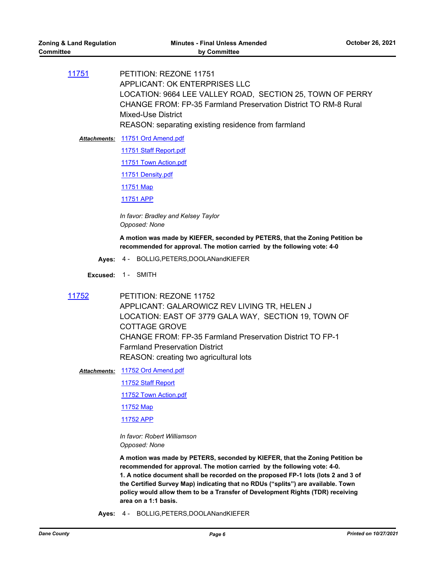[11751](http://dane.legistar.com/gateway.aspx?m=l&id=/matter.aspx?key=20857) PETITION: REZONE 11751 APPLICANT: OK ENTERPRISES LLC LOCATION: 9664 LEE VALLEY ROAD, SECTION 25, TOWN OF PERRY CHANGE FROM: FP-35 Farmland Preservation District TO RM-8 Rural Mixed-Use District REASON: separating existing residence from farmland

Attachments: [11751 Ord Amend.pdf](http://dane.legistar.com/gateway.aspx?M=F&ID=29f001f5-63f0-436b-88b6-9c23061357db.pdf) [11751 Staff Report.pdf](http://dane.legistar.com/gateway.aspx?M=F&ID=37da3cd8-955c-4a40-a155-49a948e677d6.pdf) [11751 Town Action.pdf](http://dane.legistar.com/gateway.aspx?M=F&ID=38ff0b1f-bcd0-4337-b770-d9e5d920cb89.pdf) [11751 Density.pdf](http://dane.legistar.com/gateway.aspx?M=F&ID=e95771e9-15e1-49f7-9c0f-3878b9dd26a6.pdf) [11751 Map](http://dane.legistar.com/gateway.aspx?M=F&ID=a7856aeb-62ff-44bc-9bdf-6975d5fc99d3.pdf) [11751 APP](http://dane.legistar.com/gateway.aspx?M=F&ID=843f611a-2dcd-4f8f-87e0-0cdc654bbee5.pdf)

> *In favor: Bradley and Kelsey Taylor Opposed: None*

**A motion was made by KIEFER, seconded by PETERS, that the Zoning Petition be recommended for approval. The motion carried by the following vote: 4-0**

**Ayes:** 4 - BOLLIG,PETERS,DOOLANandKIEFER

**Excused:** 1 - SMITH

[11752](http://dane.legistar.com/gateway.aspx?m=l&id=/matter.aspx?key=20859) PETITION: REZONE 11752 APPLICANT: GALAROWICZ REV LIVING TR, HELEN J LOCATION: EAST OF 3779 GALA WAY, SECTION 19, TOWN OF COTTAGE GROVE CHANGE FROM: FP-35 Farmland Preservation District TO FP-1 Farmland Preservation District REASON: creating two agricultural lots

[11752 Ord Amend.pdf](http://dane.legistar.com/gateway.aspx?M=F&ID=97b0a13b-97e8-4930-89fe-e5a91ebb66ca.pdf) *Attachments:*

[11752 Staff Report](http://dane.legistar.com/gateway.aspx?M=F&ID=87336dcc-7467-4661-893e-552d376e89f1.pdf)

[11752 Town Action.pdf](http://dane.legistar.com/gateway.aspx?M=F&ID=77ea4208-1753-49be-aeab-5c48b095f4b2.pdf)

[11752 Map](http://dane.legistar.com/gateway.aspx?M=F&ID=e686a173-7fde-4042-bca5-192c4ae6c28f.pdf)

[11752 APP](http://dane.legistar.com/gateway.aspx?M=F&ID=7ef26e1b-2f53-4433-a1a3-39dbe3c35e2f.pdf)

*In favor: Robert Williamson Opposed: None*

**A motion was made by PETERS, seconded by KIEFER, that the Zoning Petition be recommended for approval. The motion carried by the following vote: 4-0. 1. A notice document shall be recorded on the proposed FP-1 lots (lots 2 and 3 of the Certified Survey Map) indicating that no RDUs ("splits") are available. Town policy would allow them to be a Transfer of Development Rights (TDR) receiving area on a 1:1 basis.**

**Ayes:** 4 - BOLLIG,PETERS,DOOLANandKIEFER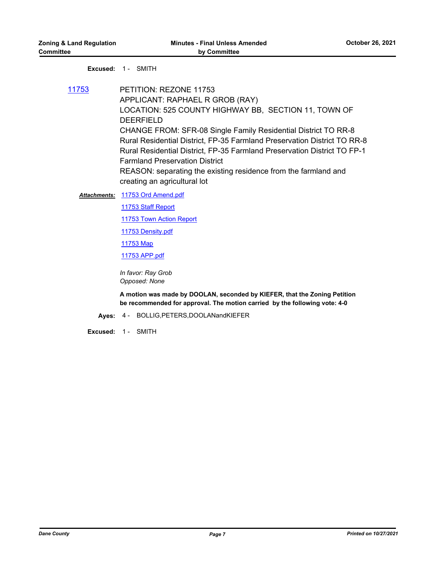#### **Excused:** 1 - SMITH

[11753](http://dane.legistar.com/gateway.aspx?m=l&id=/matter.aspx?key=20860) PETITION: REZONE 11753 APPLICANT: RAPHAEL R GROB (RAY) LOCATION: 525 COUNTY HIGHWAY BB, SECTION 11, TOWN OF DEERFIELD CHANGE FROM: SFR-08 Single Family Residential District TO RR-8 Rural Residential District, FP-35 Farmland Preservation District TO RR-8 Rural Residential District, FP-35 Farmland Preservation District TO FP-1 Farmland Preservation District REASON: separating the existing residence from the farmland and creating an agricultural lot

#### Attachments: [11753 Ord Amend.pdf](http://dane.legistar.com/gateway.aspx?M=F&ID=294a40e8-2f40-4b8a-94fe-218883bc02b7.pdf)

[11753 Staff Report](http://dane.legistar.com/gateway.aspx?M=F&ID=167f9502-e5b6-438a-a91c-207d6b68ede3.pdf)

[11753 Town Action Report](http://dane.legistar.com/gateway.aspx?M=F&ID=7e9db3d3-8c39-424c-87ad-3accc1eb191f.pdf)

[11753 Density.pdf](http://dane.legistar.com/gateway.aspx?M=F&ID=aeaa90ed-8866-4abc-94b8-c50eb50d0b1f.pdf)

[11753 Map](http://dane.legistar.com/gateway.aspx?M=F&ID=8a86a16a-751c-4a32-abc4-f68ed3d395af.pdf)

[11753 APP.pdf](http://dane.legistar.com/gateway.aspx?M=F&ID=48932927-2cb3-4d24-a86f-593a61063828.pdf)

*In favor: Ray Grob Opposed: None*

**A motion was made by DOOLAN, seconded by KIEFER, that the Zoning Petition be recommended for approval. The motion carried by the following vote: 4-0**

#### **Ayes:** 4 - BOLLIG,PETERS,DOOLANandKIEFER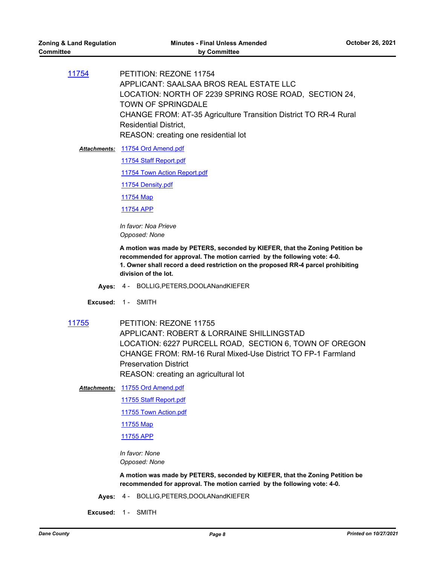[11754](http://dane.legistar.com/gateway.aspx?m=l&id=/matter.aspx?key=20881) PETITION: REZONE 11754 APPLICANT: SAALSAA BROS REAL ESTATE LLC LOCATION: NORTH OF 2239 SPRING ROSE ROAD, SECTION 24, TOWN OF SPRINGDALE CHANGE FROM: AT-35 Agriculture Transition District TO RR-4 Rural Residential District, REASON: creating one residential lot

Attachments: [11754 Ord Amend.pdf](http://dane.legistar.com/gateway.aspx?M=F&ID=61d68400-a2cd-4d72-a749-483756b62f20.pdf)

[11754 Staff Report.pdf](http://dane.legistar.com/gateway.aspx?M=F&ID=aaa662c7-9004-458e-b5a1-7b38169ec625.pdf)

[11754 Town Action Report.pdf](http://dane.legistar.com/gateway.aspx?M=F&ID=5fdebb0c-3d16-42b9-a8d0-c4e6305fb133.pdf)

[11754 Density.pdf](http://dane.legistar.com/gateway.aspx?M=F&ID=c608f191-7acf-404b-9aff-cd773496c827.pdf)

[11754 Map](http://dane.legistar.com/gateway.aspx?M=F&ID=3f4b156f-5385-4630-b439-0b7d1656a627.pdf)

[11754 APP](http://dane.legistar.com/gateway.aspx?M=F&ID=5cfec4aa-f386-46b1-b930-40d6e5557494.pdf)

*In favor: Noa Prieve Opposed: None*

**A motion was made by PETERS, seconded by KIEFER, that the Zoning Petition be recommended for approval. The motion carried by the following vote: 4-0. 1. Owner shall record a deed restriction on the proposed RR-4 parcel prohibiting division of the lot.**

- **Ayes:** 4 BOLLIG,PETERS,DOOLANandKIEFER
- **Excused:** 1 SMITH
- [11755](http://dane.legistar.com/gateway.aspx?m=l&id=/matter.aspx?key=20861) PETITION: REZONE 11755 APPLICANT: ROBERT & LORRAINE SHILLINGSTAD LOCATION: 6227 PURCELL ROAD, SECTION 6, TOWN OF OREGON CHANGE FROM: RM-16 Rural Mixed-Use District TO FP-1 Farmland Preservation District REASON: creating an agricultural lot

[11755 Ord Amend.pdf](http://dane.legistar.com/gateway.aspx?M=F&ID=3f3df0e0-facf-400f-b874-d8ec8b840476.pdf) *Attachments:*

[11755 Staff Report.pdf](http://dane.legistar.com/gateway.aspx?M=F&ID=3a9f573a-33cf-45a1-849f-c02d657c36a2.pdf)

[11755 Town Action.pdf](http://dane.legistar.com/gateway.aspx?M=F&ID=c6b1943d-dc46-46f9-878d-4d331a382288.pdf)

[11755 Map](http://dane.legistar.com/gateway.aspx?M=F&ID=963ce58b-2a27-4fbf-b384-e0155be9fd45.pdf)

[11755 APP](http://dane.legistar.com/gateway.aspx?M=F&ID=a616e2af-b3e7-4199-b720-50c23c900785.pdf)

*In favor: None Opposed: None*

**A motion was made by PETERS, seconded by KIEFER, that the Zoning Petition be recommended for approval. The motion carried by the following vote: 4-0.**

**Ayes:** 4 - BOLLIG,PETERS,DOOLANandKIEFER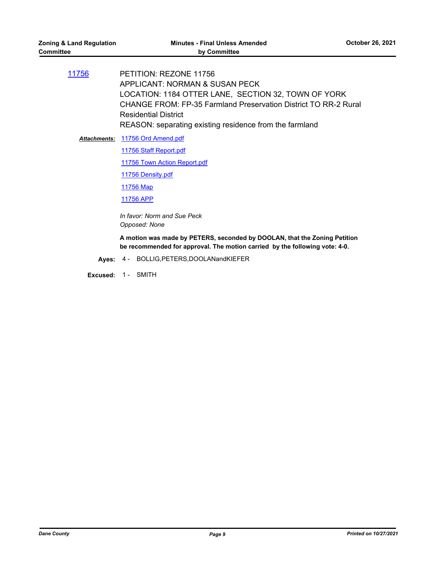[11756](http://dane.legistar.com/gateway.aspx?m=l&id=/matter.aspx?key=20862) PETITION: REZONE 11756 APPLICANT: NORMAN & SUSAN PECK LOCATION: 1184 OTTER LANE, SECTION 32, TOWN OF YORK CHANGE FROM: FP-35 Farmland Preservation District TO RR-2 Rural Residential District REASON: separating existing residence from the farmland

Attachments: [11756 Ord Amend.pdf](http://dane.legistar.com/gateway.aspx?M=F&ID=b1416720-cdf2-4c04-b8cc-358f99df2682.pdf) [11756 Staff Report.pdf](http://dane.legistar.com/gateway.aspx?M=F&ID=36876c2e-2097-4af3-9f0f-c2b0af1a0fef.pdf) [11756 Town Action Report.pdf](http://dane.legistar.com/gateway.aspx?M=F&ID=b7ed662c-4315-4c7a-9e06-12d238071d20.pdf) [11756 Density.pdf](http://dane.legistar.com/gateway.aspx?M=F&ID=397c76ff-8f97-49f0-865c-be7f24b8a6c0.pdf) [11756 Map](http://dane.legistar.com/gateway.aspx?M=F&ID=5a60b5eb-7c25-4d0b-8f11-32dc755f2b9c.pdf) [11756 APP](http://dane.legistar.com/gateway.aspx?M=F&ID=fe5d7c2e-0c3c-4226-bf10-52410410a257.pdf)

> *In favor: Norm and Sue Peck Opposed: None*

**A motion was made by PETERS, seconded by DOOLAN, that the Zoning Petition be recommended for approval. The motion carried by the following vote: 4-0.**

**Ayes:** 4 - BOLLIG,PETERS,DOOLANandKIEFER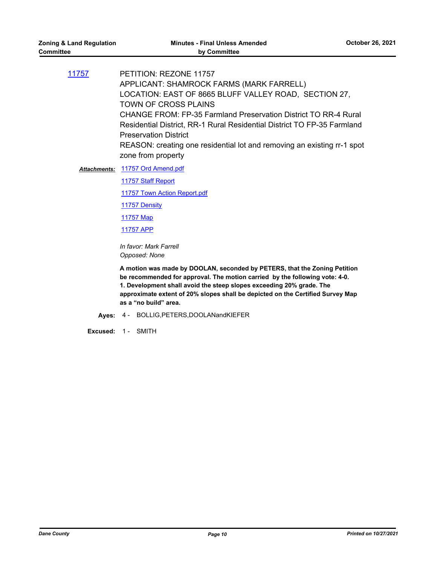[11757](http://dane.legistar.com/gateway.aspx?m=l&id=/matter.aspx?key=20863) PETITION: REZONE 11757 APPLICANT: SHAMROCK FARMS (MARK FARRELL) LOCATION: EAST OF 8665 BLUFF VALLEY ROAD, SECTION 27, TOWN OF CROSS PLAINS CHANGE FROM: FP-35 Farmland Preservation District TO RR-4 Rural Residential District, RR-1 Rural Residential District TO FP-35 Farmland Preservation District REASON: creating one residential lot and removing an existing rr-1 spot zone from property

Attachments: [11757 Ord Amend.pdf](http://dane.legistar.com/gateway.aspx?M=F&ID=53a7f362-3ad9-4a49-9fa9-45b7aae772eb.pdf)

[11757 Staff Report](http://dane.legistar.com/gateway.aspx?M=F&ID=db3646f6-96c6-4ad2-8ffa-78d1750e4200.pdf)

[11757 Town Action Report.pdf](http://dane.legistar.com/gateway.aspx?M=F&ID=071db9c0-c9d0-4257-993d-ba014ad30a62.pdf)

[11757 Density](http://dane.legistar.com/gateway.aspx?M=F&ID=4fe2c1ba-08ac-4559-b2b7-87a14013330e.pdf)

[11757 Map](http://dane.legistar.com/gateway.aspx?M=F&ID=7b0a5f7c-b53e-4d1e-b201-1afc5416c79d.pdf)

[11757 APP](http://dane.legistar.com/gateway.aspx?M=F&ID=fb2e18d9-69ef-4859-adbc-c3bbfdc05d16.pdf)

*In favor: Mark Farrell Opposed: None*

**A motion was made by DOOLAN, seconded by PETERS, that the Zoning Petition be recommended for approval. The motion carried by the following vote: 4-0. 1. Development shall avoid the steep slopes exceeding 20% grade. The approximate extent of 20% slopes shall be depicted on the Certified Survey Map as a "no build" area.**

**Ayes:** 4 - BOLLIG,PETERS,DOOLANandKIEFER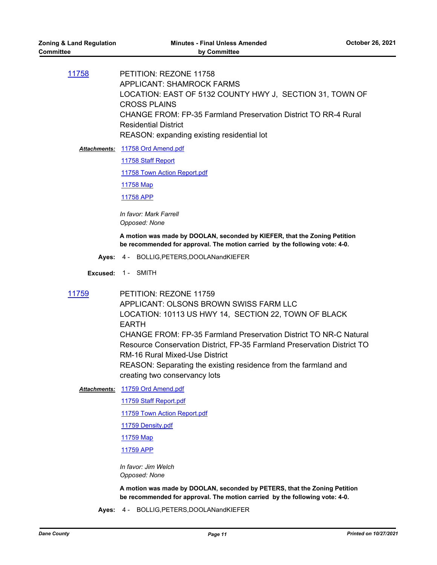[11758](http://dane.legistar.com/gateway.aspx?m=l&id=/matter.aspx?key=20864) PETITION: REZONE 11758 APPLICANT: SHAMROCK FARMS LOCATION: EAST OF 5132 COUNTY HWY J, SECTION 31, TOWN OF CROSS PLAINS CHANGE FROM: FP-35 Farmland Preservation District TO RR-4 Rural Residential District REASON: expanding existing residential lot

Attachments: [11758 Ord Amend.pdf](http://dane.legistar.com/gateway.aspx?M=F&ID=51618022-31d7-4095-8c6c-7462282d7c5d.pdf)

[11758 Staff Report](http://dane.legistar.com/gateway.aspx?M=F&ID=52faac10-7185-4614-91f3-a9eac9fec748.pdf)

[11758 Town Action Report.pdf](http://dane.legistar.com/gateway.aspx?M=F&ID=bf7621b6-ab12-40bc-a40d-d6f7f8c51bd2.pdf)

[11758 Map](http://dane.legistar.com/gateway.aspx?M=F&ID=2c6e035d-9863-4857-87e2-31a5f475785b.pdf)

[11758 APP](http://dane.legistar.com/gateway.aspx?M=F&ID=15f2d521-27e9-42ee-bae5-241280e11286.pdf)

*In favor: Mark Farrell Opposed: None*

**A motion was made by DOOLAN, seconded by KIEFER, that the Zoning Petition be recommended for approval. The motion carried by the following vote: 4-0.**

**Ayes:** 4 - BOLLIG,PETERS,DOOLANandKIEFER

**Excused:** 1 - SMITH

[11759](http://dane.legistar.com/gateway.aspx?m=l&id=/matter.aspx?key=20882) PETITION: REZONE 11759 APPLICANT: OLSONS BROWN SWISS FARM LLC LOCATION: 10113 US HWY 14, SECTION 22, TOWN OF BLACK EARTH CHANGE FROM: FP-35 Farmland Preservation District TO NR-C Natural Resource Conservation District, FP-35 Farmland Preservation District TO RM-16 Rural Mixed-Use District REASON: Separating the existing residence from the farmland and creating two conservancy lots

- [11759 Ord Amend.pdf](http://dane.legistar.com/gateway.aspx?M=F&ID=52e76071-a921-4af7-884f-b498376ce437.pdf) *Attachments:*
	- [11759 Staff Report.pdf](http://dane.legistar.com/gateway.aspx?M=F&ID=8b550505-47fa-49d9-b42a-1a2173c0003d.pdf)

[11759 Town Action Report.pdf](http://dane.legistar.com/gateway.aspx?M=F&ID=c885a3e9-bda0-47f6-af69-0f2471d83aa6.pdf)

[11759 Density.pdf](http://dane.legistar.com/gateway.aspx?M=F&ID=240995e0-ee74-40d7-895c-094df97e2e86.pdf)

[11759 Map](http://dane.legistar.com/gateway.aspx?M=F&ID=5bdb8e26-d717-41e6-8f5f-927a6293237c.pdf)

[11759 APP](http://dane.legistar.com/gateway.aspx?M=F&ID=0f649c89-acfc-4d2b-b7b4-4c771f616e0e.pdf)

*In favor: Jim Welch Opposed: None*

**A motion was made by DOOLAN, seconded by PETERS, that the Zoning Petition be recommended for approval. The motion carried by the following vote: 4-0.**

**Ayes:** 4 - BOLLIG,PETERS,DOOLANandKIEFER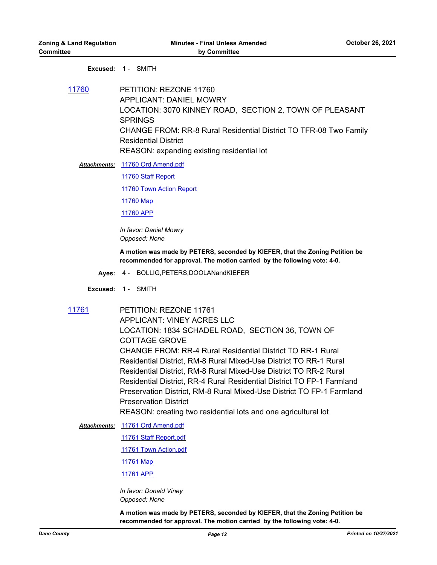#### **Excused:** 1 - SMITH

[11760](http://dane.legistar.com/gateway.aspx?m=l&id=/matter.aspx?key=20865) PETITION: REZONE 11760 APPLICANT: DANIEL MOWRY LOCATION: 3070 KINNEY ROAD, SECTION 2, TOWN OF PLEASANT SPRINGS CHANGE FROM: RR-8 Rural Residential District TO TFR-08 Two Family Residential District REASON: expanding existing residential lot

[11760 Ord Amend.pdf](http://dane.legistar.com/gateway.aspx?M=F&ID=756f61e6-3065-4a7e-9a75-ac89ecde769d.pdf) *Attachments:*

[11760 Staff Report](http://dane.legistar.com/gateway.aspx?M=F&ID=569dc6dd-3c2d-4d2c-9fa6-4a867e1d4913.pdf)

[11760 Town Action Report](http://dane.legistar.com/gateway.aspx?M=F&ID=0ffdc5e9-cc75-4318-bad2-7e8e6fb3a39f.pdf)

[11760 Map](http://dane.legistar.com/gateway.aspx?M=F&ID=a0d91380-6b61-4aa5-bc4d-36b96af628f9.pdf)

[11760 APP](http://dane.legistar.com/gateway.aspx?M=F&ID=ce8b2050-f49a-43a0-a549-59befd9353a0.pdf)

*In favor: Daniel Mowry Opposed: None*

**A motion was made by PETERS, seconded by KIEFER, that the Zoning Petition be recommended for approval. The motion carried by the following vote: 4-0.**

- **Ayes:** 4 BOLLIG,PETERS,DOOLANandKIEFER
- **Excused:** 1 SMITH
- 

[11761](http://dane.legistar.com/gateway.aspx?m=l&id=/matter.aspx?key=20866) PETITION: REZONE 11761 APPLICANT: VINEY ACRES LLC LOCATION: 1834 SCHADEL ROAD, SECTION 36, TOWN OF COTTAGE GROVE CHANGE FROM: RR-4 Rural Residential District TO RR-1 Rural Residential District, RM-8 Rural Mixed-Use District TO RR-1 Rural Residential District, RM-8 Rural Mixed-Use District TO RR-2 Rural Residential District, RR-4 Rural Residential District TO FP-1 Farmland Preservation District, RM-8 Rural Mixed-Use District TO FP-1 Farmland Preservation District

REASON: creating two residential lots and one agricultural lot

Attachments: [11761 Ord Amend.pdf](http://dane.legistar.com/gateway.aspx?M=F&ID=dc7399df-29ef-41d2-a9cb-391c166f9d57.pdf)

[11761 Staff Report.pdf](http://dane.legistar.com/gateway.aspx?M=F&ID=b0160b47-d7e9-4ecc-a1c2-ec22daec32ea.pdf)

[11761 Town Action.pdf](http://dane.legistar.com/gateway.aspx?M=F&ID=98ac7d14-1020-45f8-bac8-897c8838e980.pdf)

[11761 Map](http://dane.legistar.com/gateway.aspx?M=F&ID=cd8e94ca-070f-4351-9543-99a991efdb2a.pdf)

[11761 APP](http://dane.legistar.com/gateway.aspx?M=F&ID=3fed9d5b-ad07-4e81-be52-55703356248a.pdf)

*In favor: Donald Viney Opposed: None*

**A motion was made by PETERS, seconded by KIEFER, that the Zoning Petition be recommended for approval. The motion carried by the following vote: 4-0.**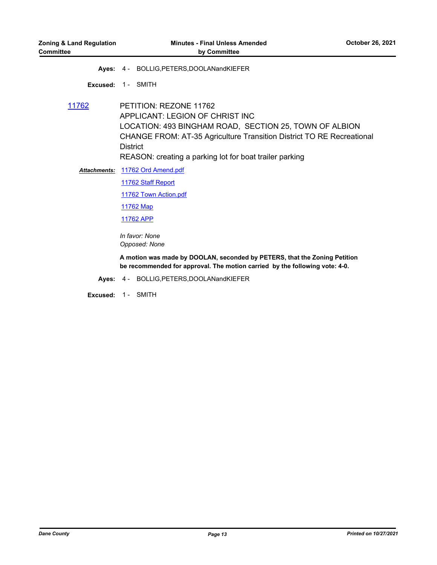**Ayes:** 4 - BOLLIG,PETERS,DOOLANandKIEFER

**Excused:** 1 - SMITH

[11762](http://dane.legistar.com/gateway.aspx?m=l&id=/matter.aspx?key=20867) PETITION: REZONE 11762 APPLICANT: LEGION OF CHRIST INC LOCATION: 493 BINGHAM ROAD, SECTION 25, TOWN OF ALBION CHANGE FROM: AT-35 Agriculture Transition District TO RE Recreational **District** REASON: creating a parking lot for boat trailer parking

[11762 Ord Amend.pdf](http://dane.legistar.com/gateway.aspx?M=F&ID=72b58b03-c9f0-41cf-9abc-67a46b48eae3.pdf) *Attachments:*

[11762 Staff Report](http://dane.legistar.com/gateway.aspx?M=F&ID=066ed2b7-0d74-4f53-a04f-372fa18d3926.pdf)

[11762 Town Action.pdf](http://dane.legistar.com/gateway.aspx?M=F&ID=73f0ab9a-4b91-4b6f-a5eb-3c8f281f58d7.pdf)

[11762 Map](http://dane.legistar.com/gateway.aspx?M=F&ID=c5078f2e-6fb2-4f43-a9e2-ab9d3f6ce461.pdf)

[11762 APP](http://dane.legistar.com/gateway.aspx?M=F&ID=76ab8716-4821-4f13-bbb3-86d3074b6e2b.pdf)

*In favor: None Opposed: None*

**A motion was made by DOOLAN, seconded by PETERS, that the Zoning Petition be recommended for approval. The motion carried by the following vote: 4-0.**

**Ayes:** 4 - BOLLIG,PETERS,DOOLANandKIEFER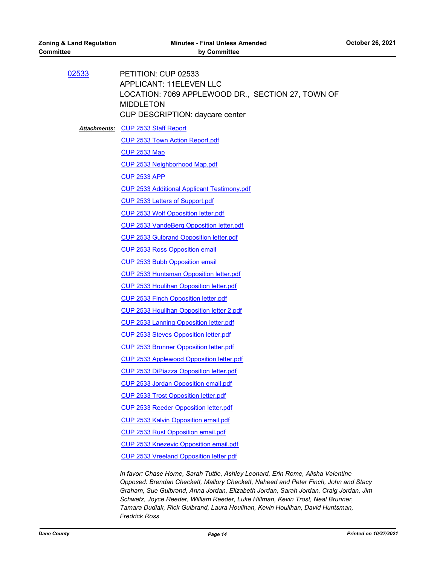| 02533 | PETITION: CUP 02533<br><b>APPLICANT: 11ELEVEN LLC</b><br>LOCATION: 7069 APPLEWOOD DR., SECTION 27, TOWN OF<br><b>MIDDLETON</b><br>CUP DESCRIPTION: daycare center |
|-------|-------------------------------------------------------------------------------------------------------------------------------------------------------------------|
|       | <b>Attachments: CUP 2533 Staff Report</b>                                                                                                                         |
|       | <b>CUP 2533 Town Action Report.pdf</b>                                                                                                                            |
|       | <b>CUP 2533 Map</b>                                                                                                                                               |
|       | <b>CUP 2533 Neighborhood Map.pdf</b>                                                                                                                              |
|       | <b>CUP 2533 APP</b>                                                                                                                                               |
|       | <b>CUP 2533 Additional Applicant Testimony.pdf</b>                                                                                                                |
|       | <b>CUP 2533 Letters of Support.pdf</b>                                                                                                                            |
|       | CUP 2533 Wolf Opposition letter.pdf                                                                                                                               |
|       | <b>CUP 2533 VandeBerg Opposition letter.pdf</b>                                                                                                                   |
|       | <b>CUP 2533 Gulbrand Opposition letter.pdf</b>                                                                                                                    |
|       | <b>CUP 2533 Ross Opposition email</b>                                                                                                                             |
|       | <b>CUP 2533 Bubb Opposition email</b>                                                                                                                             |
|       | <b>CUP 2533 Huntsman Opposition letter.pdf</b>                                                                                                                    |
|       | <b>CUP 2533 Houlihan Opposition letter.pdf</b>                                                                                                                    |
|       | <b>CUP 2533 Finch Opposition letter.pdf</b>                                                                                                                       |
|       | CUP 2533 Houlihan Opposition letter 2.pdf                                                                                                                         |
|       | <b>CUP 2533 Lanning Opposition letter.pdf</b>                                                                                                                     |
|       | <b>CUP 2533 Steves Opposition letter.pdf</b>                                                                                                                      |
|       | <b>CUP 2533 Brunner Opposition letter.pdf</b>                                                                                                                     |
|       | CUP 2533 Applewood Opposition letter.pdf                                                                                                                          |
|       | <b>CUP 2533 DiPiazza Opposition letter.pdf</b>                                                                                                                    |
|       | <b>CUP 2533 Jordan Opposition email.pdf</b>                                                                                                                       |
|       | <b>CUP 2533 Trost Opposition letter.pdf</b>                                                                                                                       |
|       | <b>CUP 2533 Reeder Opposition letter.pdf</b>                                                                                                                      |
|       | <b>CUP 2533 Kalvin Opposition email.pdf</b>                                                                                                                       |
|       | <b>CUP 2533 Rust Opposition email.pdf</b>                                                                                                                         |
|       | <b>CUP 2533 Knezevic Opposition email.pdf</b>                                                                                                                     |
|       | <b>CUP 2533 Vreeland Opposition letter.pdf</b>                                                                                                                    |
|       | In favor: Chase Horne, Sarah Tuttle, Ashley Leonard, Erin Rome, Alisha Valentine<br>Opposed: Brendan Checkett, Mallory Checkett, Naheed and Peter Finch, John and |

*Opposed: Brendan Checkett, Mallory Checkett, Naheed and Peter Finch, John and Stacy Graham, Sue Gulbrand, Anna Jordan, Elizabeth Jordan, Sarah Jordan, Craig Jordan, Jim Schwetz, Joyce Reeder, William Reeder, Luke Hillman, Kevin Trost, Neal Brunner, Tamara Dudiak, Rick Gulbrand, Laura Houlihan, Kevin Houlihan, David Huntsman, Fredrick Ross*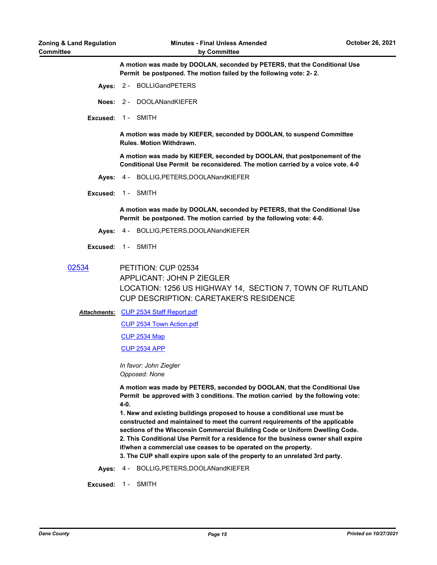**A motion was made by DOOLAN, seconded by PETERS, that the Conditional Use Permit be postponed. The motion failed by the following vote: 2- 2.**

- **Ayes:** 2 BOLLIGandPETERS
- **Noes:** 2 DOOLANandKIEFER
- **Excused:** 1 SMITH

**A motion was made by KIEFER, seconded by DOOLAN, to suspend Committee Rules. Motion Withdrawn.**

**A motion was made by KIEFER, seconded by DOOLAN, that postponement of the Conditional Use Permit be reconsidered. The motion carried by a voice vote. 4-0**

- **Ayes:** 4 BOLLIG,PETERS,DOOLANandKIEFER
- **Excused:** 1 SMITH

**A motion was made by DOOLAN, seconded by PETERS, that the Conditional Use Permit be postponed. The motion carried by the following vote: 4-0.**

- **Ayes:** 4 BOLLIG,PETERS,DOOLANandKIEFER
- **Excused:** 1 SMITH
- [02534](http://dane.legistar.com/gateway.aspx?m=l&id=/matter.aspx?key=20869) PETITION: CUP 02534 APPLICANT: JOHN P ZIEGLER LOCATION: 1256 US HIGHWAY 14, SECTION 7, TOWN OF RUTLAND CUP DESCRIPTION: CARETAKER'S RESIDENCE

Attachments: [CUP 2534 Staff Report.pdf](http://dane.legistar.com/gateway.aspx?M=F&ID=7530730b-aecf-49bb-b719-867e914cfca2.pdf)

[CUP 2534 Town Action.pdf](http://dane.legistar.com/gateway.aspx?M=F&ID=fc642890-ef73-436a-8060-56f7c87cf5de.pdf)

[CUP 2534 Map](http://dane.legistar.com/gateway.aspx?M=F&ID=8202b73c-9a14-4339-b256-4382e179c2ab.pdf)

[CUP 2534 APP](http://dane.legistar.com/gateway.aspx?M=F&ID=9664bf60-6e96-4791-aa1f-62503baad73c.pdf)

*In favor: John Ziegler Opposed: None*

**A motion was made by PETERS, seconded by DOOLAN, that the Conditional Use Permit be approved with 3 conditions. The motion carried by the following vote: 4-0.**

**1. New and existing buildings proposed to house a conditional use must be constructed and maintained to meet the current requirements of the applicable sections of the Wisconsin Commercial Building Code or Uniform Dwelling Code. 2. This Conditional Use Permit for a residence for the business owner shall expire if/when a commercial use ceases to be operated on the property.** 

**3. The CUP shall expire upon sale of the property to an unrelated 3rd party.**

**Ayes:** 4 - BOLLIG,PETERS,DOOLANandKIEFER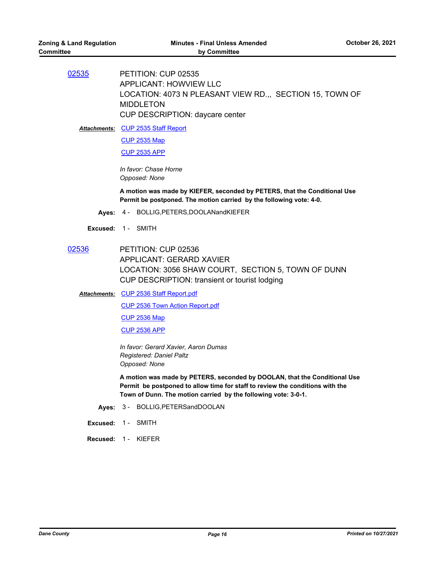[02535](http://dane.legistar.com/gateway.aspx?m=l&id=/matter.aspx?key=20870) PETITION: CUP 02535 APPLICANT: HOWVIEW LLC LOCATION: 4073 N PLEASANT VIEW RD.,, SECTION 15, TOWN OF MIDDLETON CUP DESCRIPTION: daycare center

Attachments: [CUP 2535 Staff Report](http://dane.legistar.com/gateway.aspx?M=F&ID=80964ad6-47a7-4a18-9786-ca86db722f22.pdf)

[CUP 2535 Map](http://dane.legistar.com/gateway.aspx?M=F&ID=3aa64190-bd81-4156-a45c-cce333df462a.pdf)

[CUP 2535 APP](http://dane.legistar.com/gateway.aspx?M=F&ID=f066b75d-24bf-4595-b32c-8aa749608204.pdf)

*In favor: Chase Horne Opposed: None*

**A motion was made by KIEFER, seconded by PETERS, that the Conditional Use Permit be postponed. The motion carried by the following vote: 4-0.**

- **Ayes:** 4 BOLLIG,PETERS,DOOLANandKIEFER
- **Excused:** 1 SMITH
- [02536](http://dane.legistar.com/gateway.aspx?m=l&id=/matter.aspx?key=20871) PETITION: CUP 02536 APPLICANT: GERARD XAVIER LOCATION: 3056 SHAW COURT, SECTION 5, TOWN OF DUNN CUP DESCRIPTION: transient or tourist lodging
	- [CUP 2536 Staff Report.pdf](http://dane.legistar.com/gateway.aspx?M=F&ID=6e802863-ae4d-4ece-bd42-379f500a979e.pdf) *Attachments:* [CUP 2536 Town Action Report.pdf](http://dane.legistar.com/gateway.aspx?M=F&ID=6dda89c3-5945-4c83-b058-49c429c0f0aa.pdf) [CUP 2536 Map](http://dane.legistar.com/gateway.aspx?M=F&ID=81a44a24-034d-42f4-8f9c-1a40af6ce4a0.pdf) [CUP 2536 APP](http://dane.legistar.com/gateway.aspx?M=F&ID=5eda3fa2-c509-4f1b-b3cc-bff9be500ac0.pdf)

*In favor: Gerard Xavier, Aaron Dumas Registered: Daniel Paltz Opposed: None*

**A motion was made by PETERS, seconded by DOOLAN, that the Conditional Use Permit be postponed to allow time for staff to review the conditions with the Town of Dunn. The motion carried by the following vote: 3-0-1.**

- **Ayes:** 3 BOLLIG,PETERSandDOOLAN
- **Excused:** 1 SMITH

**Recused:** 1 - KIEFER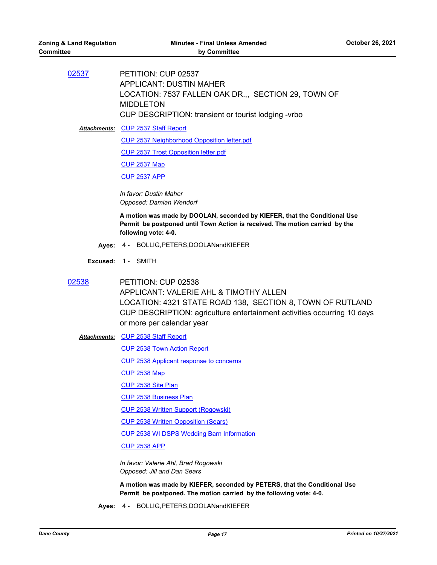[02537](http://dane.legistar.com/gateway.aspx?m=l&id=/matter.aspx?key=20872) PETITION: CUP 02537 APPLICANT: DUSTIN MAHER LOCATION: 7537 FALLEN OAK DR.,, SECTION 29, TOWN OF MIDDLETON CUP DESCRIPTION: transient or tourist lodging -vrbo

Attachments: [CUP 2537 Staff Report](http://dane.legistar.com/gateway.aspx?M=F&ID=3c4f0cb8-05cc-4091-a9e1-ac6cf5c4f9c4.pdf)

[CUP 2537 Neighborhood Opposition letter.pdf](http://dane.legistar.com/gateway.aspx?M=F&ID=05de60ec-4747-4471-a63e-36d47bda0b86.pdf)

[CUP 2537 Trost Opposition letter.pdf](http://dane.legistar.com/gateway.aspx?M=F&ID=1e3c77d6-1a52-44a7-a23c-8e1f7e71a44f.pdf)

[CUP 2537 Map](http://dane.legistar.com/gateway.aspx?M=F&ID=d73db2a7-bf67-43a4-b6b6-cf51219d04f7.pdf)

[CUP 2537 APP](http://dane.legistar.com/gateway.aspx?M=F&ID=6dc7e708-8baf-4485-b294-cbcc67be52fa.pdf)

*In favor: Dustin Maher Opposed: Damian Wendorf*

**A motion was made by DOOLAN, seconded by KIEFER, that the Conditional Use Permit be postponed until Town Action is received. The motion carried by the following vote: 4-0.**

- **Ayes:** 4 BOLLIG,PETERS,DOOLANandKIEFER
- **Excused:** 1 SMITH
- [02538](http://dane.legistar.com/gateway.aspx?m=l&id=/matter.aspx?key=20873) PETITION: CUP 02538 APPLICANT: VALERIE AHL & TIMOTHY ALLEN LOCATION: 4321 STATE ROAD 138, SECTION 8, TOWN OF RUTLAND CUP DESCRIPTION: agriculture entertainment activities occurring 10 days or more per calendar year
	- [CUP 2538 Staff Report](http://dane.legistar.com/gateway.aspx?M=F&ID=5caa4a0a-fee6-425f-b90c-4abb315b9f18.pdf) *Attachments:*
		- [CUP 2538 Town Action Report](http://dane.legistar.com/gateway.aspx?M=F&ID=f0c57ece-fb6d-4c8b-868e-bad1ed3cb415.pdf)

[CUP 2538 Applicant response to concerns](http://dane.legistar.com/gateway.aspx?M=F&ID=a6fadc5d-90fb-43b4-861d-1f977019a918.pdf)

- [CUP 2538 Map](http://dane.legistar.com/gateway.aspx?M=F&ID=0f9cec2b-a6b8-4b86-ac1c-7969684bf79b.pdf)
- [CUP 2538 Site Plan](http://dane.legistar.com/gateway.aspx?M=F&ID=501b1634-c718-42c8-974b-6958b6c3735d.pdf)

[CUP 2538 Business Plan](http://dane.legistar.com/gateway.aspx?M=F&ID=b7417c37-7aab-494f-8e05-716382729741.pdf)

[CUP 2538 Written Support \(Rogowski\)](http://dane.legistar.com/gateway.aspx?M=F&ID=81129973-e6ac-40b4-a31b-475884b3d03c.pdf)

- [CUP 2538 Written Opposition \(Sears\)](http://dane.legistar.com/gateway.aspx?M=F&ID=503a55f4-b8b0-40a4-8cb6-83bd7c066581.pdf)
- [CUP 2538 WI DSPS Wedding Barn Information](http://dane.legistar.com/gateway.aspx?M=F&ID=946a80c5-39a6-4344-94a4-7e23603dd4af.pdf)

[CUP 2538 APP](http://dane.legistar.com/gateway.aspx?M=F&ID=12a37c1c-76db-466a-bb99-c99279771857.pdf)

*In favor: Valerie Ahl, Brad Rogowski Opposed: Jill and Dan Sears*

**A motion was made by KIEFER, seconded by PETERS, that the Conditional Use Permit be postponed. The motion carried by the following vote: 4-0.**

**Ayes:** 4 - BOLLIG,PETERS,DOOLANandKIEFER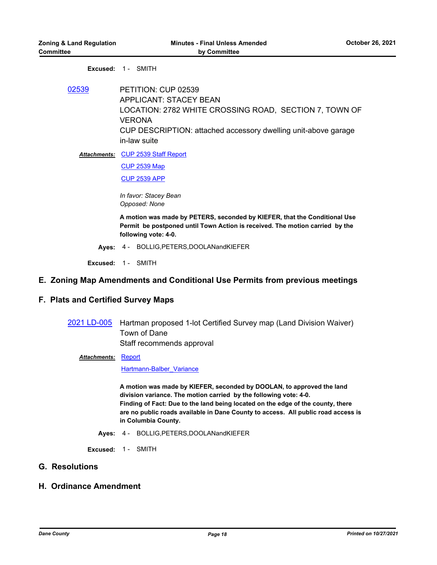#### **Excused:** 1 - SMITH

[02539](http://dane.legistar.com/gateway.aspx?m=l&id=/matter.aspx?key=20874) PETITION: CUP 02539 APPLICANT: STACEY BEAN LOCATION: 2782 WHITE CROSSING ROAD, SECTION 7, TOWN OF VERONA CUP DESCRIPTION: attached accessory dwelling unit-above garage in-law suite

Attachments: [CUP 2539 Staff Report](http://dane.legistar.com/gateway.aspx?M=F&ID=69c0e73e-2c64-4d99-896e-44e1356393fa.pdf)

[CUP 2539 Map](http://dane.legistar.com/gateway.aspx?M=F&ID=09e9f80d-fe0e-40e8-995c-6101d29c1c2f.pdf)

[CUP 2539 APP](http://dane.legistar.com/gateway.aspx?M=F&ID=9d153c4d-79f3-40b8-ae0f-aa7c752b8357.pdf)

*In favor: Stacey Bean Opposed: None*

**A motion was made by PETERS, seconded by KIEFER, that the Conditional Use Permit be postponed until Town Action is received. The motion carried by the following vote: 4-0.**

**Ayes:** 4 - BOLLIG,PETERS,DOOLANandKIEFER

**Excused:** 1 - SMITH

### **E. Zoning Map Amendments and Conditional Use Permits from previous meetings**

## **F. Plats and Certified Survey Maps**

[2021 LD-005](http://dane.legistar.com/gateway.aspx?m=l&id=/matter.aspx?key=20958) Hartman proposed 1-lot Certified Survey map (Land Division Waiver) Town of Dane Staff recommends approval

#### Attachments: **[Report](http://dane.legistar.com/gateway.aspx?M=F&ID=aa057d03-1c11-49b4-93a5-e99c72fb7858.pdf)**

[Hartmann-Balber\\_Variance](http://dane.legistar.com/gateway.aspx?M=F&ID=b7dde3c1-b079-4074-a4c1-c5be582f6b0e.pdf)

**A motion was made by KIEFER, seconded by DOOLAN, to approved the land division variance. The motion carried by the following vote: 4-0. Finding of Fact: Due to the land being located on the edge of the county, there are no public roads available in Dane County to access. All public road access is in Columbia County.**

**Ayes:** 4 - BOLLIG,PETERS,DOOLANandKIEFER

**Excused:** 1 - SMITH

## **G. Resolutions**

## **H. Ordinance Amendment**